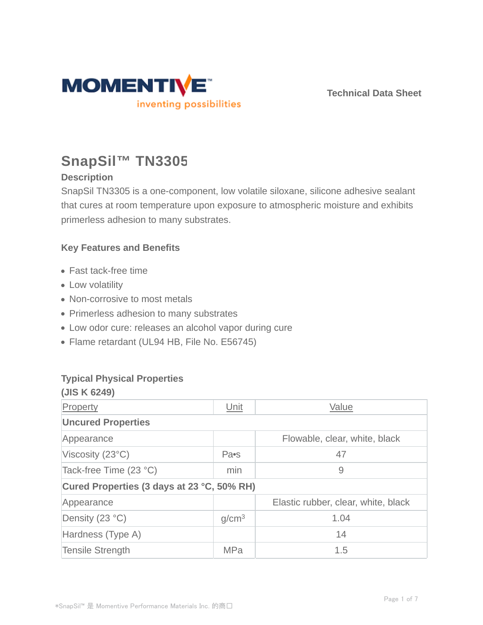

# **SnapSil™ TN3305**

## **Description**

SnapSil TN3305 is a one-component, low volatile siloxane, silicone adhesive sealant that cures at room temperature upon exposure to atmospheric moisture and exhibits primerless adhesion to many substrates.

## **Key Features and Benefits**

- Fast tack-free time
- Low volatility
- Non-corrosive to most metals
- Primerless adhesion to many substrates
- Low odor cure: releases an alcohol vapor during cure
- Flame retardant (UL94 HB, File No. E56745)

### **Typical Physical Properties**

| (JIS K 6249)                               |                   |                                     |  |  |  |  |
|--------------------------------------------|-------------------|-------------------------------------|--|--|--|--|
| Property                                   | Unit              | Value                               |  |  |  |  |
| <b>Uncured Properties</b>                  |                   |                                     |  |  |  |  |
| Appearance                                 |                   | Flowable, clear, white, black       |  |  |  |  |
| Viscosity $(23^{\circ}C)$                  | Pa•s              | 47                                  |  |  |  |  |
| Tack-free Time (23 °C)                     | min               | 9                                   |  |  |  |  |
| Cured Properties (3 days at 23 °C, 50% RH) |                   |                                     |  |  |  |  |
| Appearance                                 |                   | Elastic rubber, clear, white, black |  |  |  |  |
| Density (23 °C)                            | g/cm <sup>3</sup> | 1.04                                |  |  |  |  |
| Hardness (Type A)                          |                   | 14                                  |  |  |  |  |
| <b>Tensile Strength</b>                    | <b>MPa</b>        | 1.5                                 |  |  |  |  |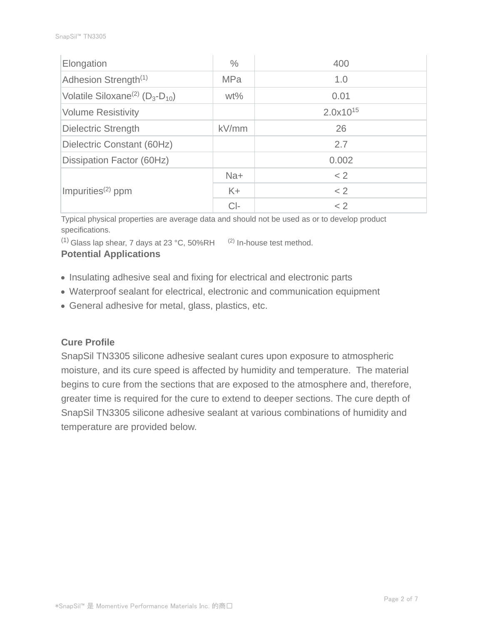| Elongation                                            | $\%$       | 400           |  |  |
|-------------------------------------------------------|------------|---------------|--|--|
| Adhesion Strength <sup>(1)</sup>                      | <b>MPa</b> | 1.0           |  |  |
| Volatile Siloxane <sup>(2)</sup> ( $D_3$ - $D_{10}$ ) | $wt\%$     | 0.01          |  |  |
| <b>Volume Resistivity</b>                             |            | $2.0x10^{15}$ |  |  |
| <b>Dielectric Strength</b>                            | kV/mm      | 26            |  |  |
| Dielectric Constant (60Hz)                            |            | 2.7           |  |  |
| Dissipation Factor (60Hz)                             |            | 0.002         |  |  |
| Impurities <sup>(2)</sup> ppm                         | Na+        | < 2           |  |  |
|                                                       | $K +$      | < 2           |  |  |
|                                                       | $Cl-$      | < 2           |  |  |

Typical physical properties are average data and should not be used as or to develop product specifications.

 $(1)$  Glass lap shear, 7 days at 23 °C, 50%RH  $(2)$  In-house test method.

#### **Potential Applications**

- Insulating adhesive seal and fixing for electrical and electronic parts
- Waterproof sealant for electrical, electronic and communication equipment
- General adhesive for metal, glass, plastics, etc.

#### **Cure Profile**

SnapSil TN3305 silicone adhesive sealant cures upon exposure to atmospheric moisture, and its cure speed is affected by humidity and temperature. The material begins to cure from the sections that are exposed to the atmosphere and, therefore, greater time is required for the cure to extend to deeper sections. The cure depth of SnapSil TN3305 silicone adhesive sealant at various combinations of humidity and temperature are provided below.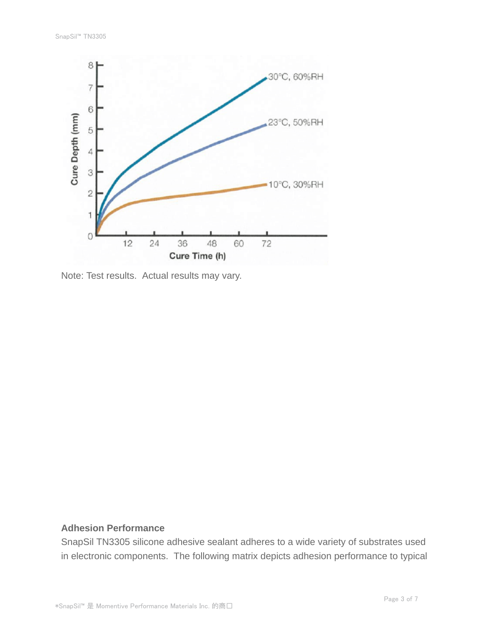

Note: Test results. Actual results may vary.

#### **Adhesion Performance**

SnapSil TN3305 silicone adhesive sealant adheres to a wide variety of substrates used in electronic components. The following matrix depicts adhesion performance to typical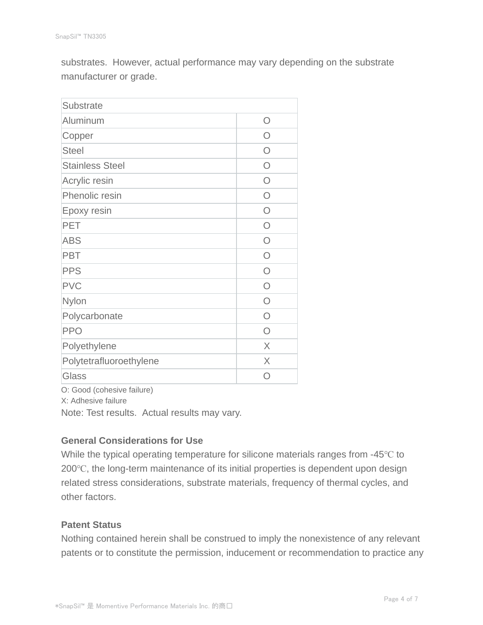substrates. However, actual performance may vary depending on the substrate manufacturer or grade.

| <b>Substrate</b>        |           |
|-------------------------|-----------|
| Aluminum                | ∩         |
| Copper                  | ∩         |
| <b>Steel</b>            | ∩         |
| <b>Stainless Steel</b>  | ∩         |
| Acrylic resin           | $\bigcap$ |
| Phenolic resin          | $\bigcap$ |
| Epoxy resin             | $\bigcap$ |
| <b>PET</b>              | ∩         |
| <b>ABS</b>              | $\bigcap$ |
| <b>PBT</b>              | $\bigcap$ |
| <b>PPS</b>              | $\bigcap$ |
| <b>PVC</b>              | ∩         |
| Nylon                   | ∩         |
| Polycarbonate           | ∩         |
| <b>PPO</b>              | $\bigcap$ |
| Polyethylene            | X         |
| Polytetrafluoroethylene | X         |
| Glass                   |           |

O: Good (cohesive failure)

X: Adhesive failure

Note: Test results. Actual results may vary.

#### **General Considerations for Use**

While the typical operating temperature for silicone materials ranges from -45℃ to 200℃, the long-term maintenance of its initial properties is dependent upon design related stress considerations, substrate materials, frequency of thermal cycles, and other factors.

#### **Patent Status**

Nothing contained herein shall be construed to imply the nonexistence of any relevant patents or to constitute the permission, inducement or recommendation to practice any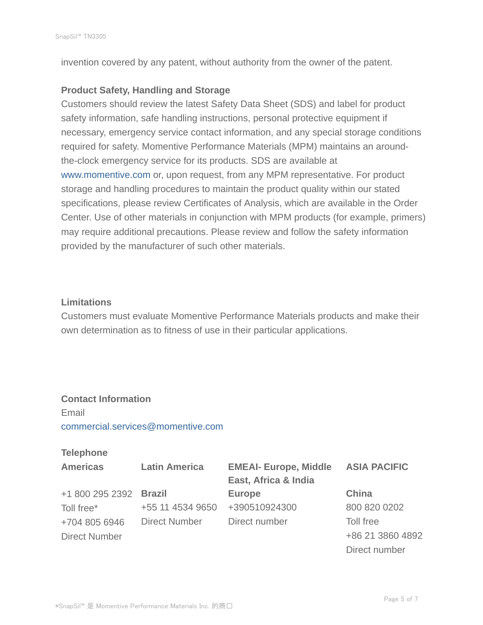invention covered by any patent, without authority from the owner of the patent.

#### **Product Safety, Handling and Storage**

Customers should review the latest Safety Data Sheet (SDS) and label for product safety information, safe handling instructions, personal protective equipment if necessary, emergency service contact information, and any special storage conditions required for safety. Momentive Performance Materials (MPM) maintains an aroundthe-clock emergency service for its products. SDS are available at www.momentive.com or, upon request, from any MPM representative. For product storage and handling procedures to maintain the product quality within our stated specifications, please review Certificates of Analysis, which are available in the Order Center. Use of other materials in conjunction with MPM products (for example, primers) may require additional precautions. Please review and follow the safety information provided by the manufacturer of such other materials.

#### **Limitations**

Customers must evaluate Momentive Performance Materials products and make their own determination as to fitness of use in their particular applications.

## **Contact Information**

Email commercial.services@momentive.com

#### **Telephone**

| <b>Americas</b>      | <b>Latin America</b> | <b>EMEAI- Europe, Middle</b> | <b>ASIA PACIFIC</b> |  |
|----------------------|----------------------|------------------------------|---------------------|--|
|                      |                      | East, Africa & India         |                     |  |
| +1 800 295 2392      | <b>Brazil</b>        | <b>Europe</b>                | China               |  |
| Toll free*           | +55 11 4534 9650     | +390510924300                | 800 820 0202        |  |
| +704 805 6946        | <b>Direct Number</b> | Direct number                | Toll free           |  |
| <b>Direct Number</b> |                      |                              | +86 21 3860 4892    |  |
|                      |                      |                              | Direct number       |  |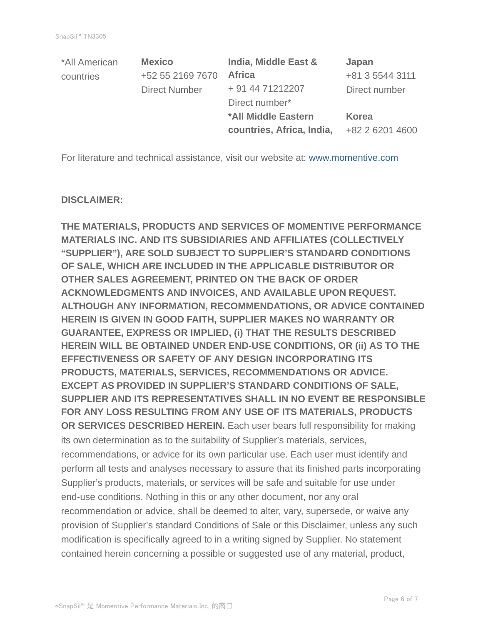| *All American | <b>Mexico</b>        | India, Middle East &       | Japan           |
|---------------|----------------------|----------------------------|-----------------|
| countries     | +52 55 2169 7670     | <b>Africa</b>              | +81 3 5544 3111 |
|               | <b>Direct Number</b> | + 91 44 71212207           | Direct number   |
|               |                      | Direct number*             |                 |
|               |                      | <b>*All Middle Eastern</b> | <b>Korea</b>    |
|               |                      | countries, Africa, India,  | +82 2 6201 4600 |

For literature and technical assistance, visit our website at: www.momentive.com

#### **DISCLAIMER:**

**THE MATERIALS, PRODUCTS AND SERVICES OF MOMENTIVE PERFORMANCE MATERIALS INC. AND ITS SUBSIDIARIES AND AFFILIATES (COLLECTIVELY "SUPPLIER"), ARE SOLD SUBJECT TO SUPPLIER'S STANDARD CONDITIONS OF SALE, WHICH ARE INCLUDED IN THE APPLICABLE DISTRIBUTOR OR OTHER SALES AGREEMENT, PRINTED ON THE BACK OF ORDER ACKNOWLEDGMENTS AND INVOICES, AND AVAILABLE UPON REQUEST. ALTHOUGH ANY INFORMATION, RECOMMENDATIONS, OR ADVICE CONTAINED HEREIN IS GIVEN IN GOOD FAITH, SUPPLIER MAKES NO WARRANTY OR GUARANTEE, EXPRESS OR IMPLIED, (i) THAT THE RESULTS DESCRIBED HEREIN WILL BE OBTAINED UNDER END-USE CONDITIONS, OR (ii) AS TO THE EFFECTIVENESS OR SAFETY OF ANY DESIGN INCORPORATING ITS PRODUCTS, MATERIALS, SERVICES, RECOMMENDATIONS OR ADVICE. EXCEPT AS PROVIDED IN SUPPLIER'S STANDARD CONDITIONS OF SALE, SUPPLIER AND ITS REPRESENTATIVES SHALL IN NO EVENT BE RESPONSIBLE FOR ANY LOSS RESULTING FROM ANY USE OF ITS MATERIALS, PRODUCTS OR SERVICES DESCRIBED HEREIN.** Each user bears full responsibility for making its own determination as to the suitability of Supplier's materials, services, recommendations, or advice for its own particular use. Each user must identify and perform all tests and analyses necessary to assure that its finished parts incorporating Supplier's products, materials, or services will be safe and suitable for use under end-use conditions. Nothing in this or any other document, nor any oral recommendation or advice, shall be deemed to alter, vary, supersede, or waive any provision of Supplier's standard Conditions of Sale or this Disclaimer, unless any such modification is specifically agreed to in a writing signed by Supplier. No statement contained herein concerning a possible or suggested use of any material, product,